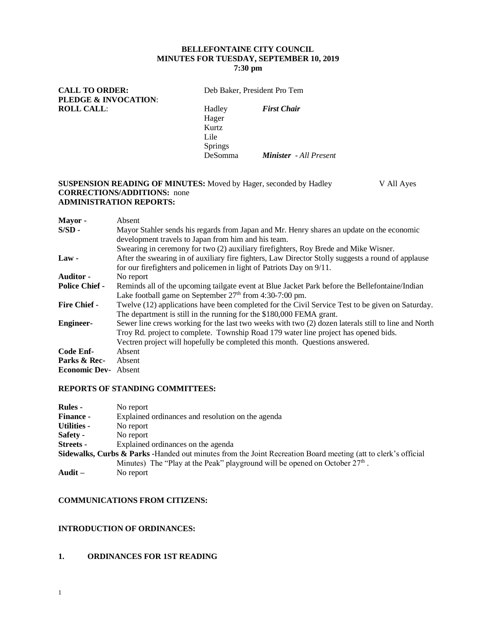## **BELLEFONTAINE CITY COUNCIL MINUTES FOR TUESDAY, SEPTEMBER 10, 2019 7:30 pm**

CALL TO ORDER: Deb Baker, President Pro Tem **PLEDGE & INVOCATION**: **ROLL CALL**: Hadley *First Chair*

Hager Kurtz Lile Springs

DeSomma *Minister - All Present*

#### **SUSPENSION READING OF MINUTES:** Moved by Hager, seconded by Hadley V All Ayes **CORRECTIONS/ADDITIONS:** none **ADMINISTRATION REPORTS:**

| Mayor -                     | Absent                                                                                              |
|-----------------------------|-----------------------------------------------------------------------------------------------------|
| $S/SD -$                    | Mayor Stahler sends his regards from Japan and Mr. Henry shares an update on the economic           |
|                             | development travels to Japan from him and his team.                                                 |
|                             | Swearing in ceremony for two (2) auxiliary firefighters, Roy Brede and Mike Wisner.                 |
| $Law -$                     | After the swearing in of auxiliary fire fighters, Law Director Stolly suggests a round of applause  |
|                             | for our firefighters and policemen in light of Patriots Day on 9/11.                                |
| <b>Auditor -</b>            | No report                                                                                           |
| <b>Police Chief -</b>       | Reminds all of the upcoming tailgate event at Blue Jacket Park before the Bellefontaine/Indian      |
|                             | Lake football game on September 27 <sup>th</sup> from 4:30-7:00 pm.                                 |
| <b>Fire Chief -</b>         | Twelve (12) applications have been completed for the Civil Service Test to be given on Saturday.    |
|                             | The department is still in the running for the \$180,000 FEMA grant.                                |
| <b>Engineer-</b>            | Sewer line crews working for the last two weeks with two (2) dozen laterals still to line and North |
|                             | Troy Rd. project to complete. Township Road 179 water line project has opened bids.                 |
|                             | Vectren project will hopefully be completed this month. Questions answered.                         |
| Code Enf-                   | Absent                                                                                              |
| Parks & Rec-                | Absent                                                                                              |
| <b>Economic Dev-</b> Absent |                                                                                                     |

#### **REPORTS OF STANDING COMMITTEES:**

| <b>Rules</b> -                                                                                                            | No report                                                                     |  |  |  |
|---------------------------------------------------------------------------------------------------------------------------|-------------------------------------------------------------------------------|--|--|--|
| <b>Finance -</b>                                                                                                          | Explained ordinances and resolution on the agenda                             |  |  |  |
| Utilities -                                                                                                               | No report                                                                     |  |  |  |
| Safety -                                                                                                                  | No report                                                                     |  |  |  |
| Streets -                                                                                                                 | Explained ordinances on the agenda                                            |  |  |  |
| <b>Sidewalks, Curbs &amp; Parks -</b> Handed out minutes from the Joint Recreation Board meeting (att to clerk's official |                                                                               |  |  |  |
|                                                                                                                           | Minutes) The "Play at the Peak" playground will be opened on October $27th$ . |  |  |  |
| Audit $-$                                                                                                                 | No report                                                                     |  |  |  |

# **COMMUNICATIONS FROM CITIZENS:**

## **INTRODUCTION OF ORDINANCES:**

## **1. ORDINANCES FOR 1ST READING**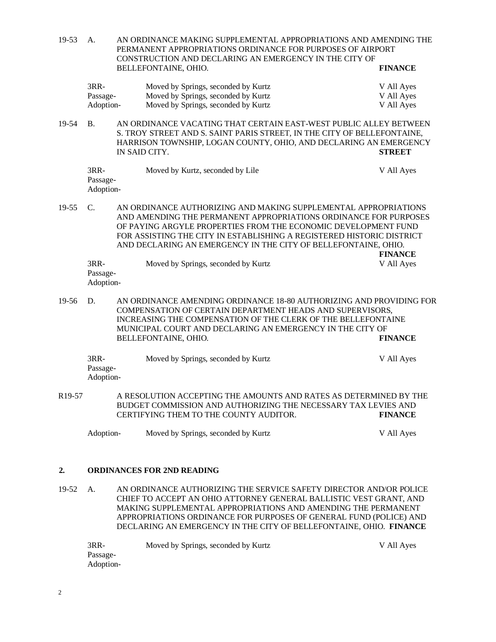19-53 A. AN ORDINANCE MAKING SUPPLEMENTAL APPROPRIATIONS AND AMENDING THE PERMANENT APPROPRIATIONS ORDINANCE FOR PURPOSES OF AIRPORT CONSTRUCTION AND DECLARING AN EMERGENCY IN THE CITY OF BELLEFONTAINE, OHIO. **FINANCE** 3RR- Moved by Springs, seconded by Kurtz V All Ayes Passage- Moved by Springs, seconded by Kurtz V All Ayes Adoption- Moved by Springs, seconded by Kurtz V All Ayes 19-54 B. AN ORDINANCE VACATING THAT CERTAIN EAST-WEST PUBLIC ALLEY BETWEEN S. TROY STREET AND S. SAINT PARIS STREET, IN THE CITY OF BELLEFONTAINE, HARRISON TOWNSHIP, LOGAN COUNTY, OHIO, AND DECLARING AN EMERGENCY IN SAID CITY. **STREET** 3RR- Moved by Kurtz, seconded by Lile V All Ayes Passage-Adoption-19-55 C. AN ORDINANCE AUTHORIZING AND MAKING SUPPLEMENTAL APPROPRIATIONS AND AMENDING THE PERMANENT APPROPRIATIONS ORDINANCE FOR PURPOSES OF PAYING ARGYLE PROPERTIES FROM THE ECONOMIC DEVELOPMENT FUND FOR ASSISTING THE CITY IN ESTABLISHING A REGISTERED HISTORIC DISTRICT AND DECLARING AN EMERGENCY IN THE CITY OF BELLEFONTAINE, OHIO. **FINANCE** 3RR- Moved by Springs, seconded by Kurtz V All Ayes Passage-Adoption-19-56 D. AN ORDINANCE AMENDING ORDINANCE 18-80 AUTHORIZING AND PROVIDING FOR COMPENSATION OF CERTAIN DEPARTMENT HEADS AND SUPERVISORS, INCREASING THE COMPENSATION OF THE CLERK OF THE BELLEFONTAINE MUNICIPAL COURT AND DECLARING AN EMERGENCY IN THE CITY OF BELLEFONTAINE, OHIO. **FINANCE** 3RR- Moved by Springs, seconded by Kurtz V All Ayes Passage-Adoption-R19-57 A RESOLUTION ACCEPTING THE AMOUNTS AND RATES AS DETERMINED BY THE BUDGET COMMISSION AND AUTHORIZING THE NECESSARY TAX LEVIES AND CERTIFYING THEM TO THE COUNTY AUDITOR. **FINANCE** Adoption-Moved by Springs, seconded by KurtzV All Ayes

#### **2. ORDINANCES FOR 2ND READING**

19-52 A. AN ORDINANCE AUTHORIZING THE SERVICE SAFETY DIRECTOR AND/OR POLICE CHIEF TO ACCEPT AN OHIO ATTORNEY GENERAL BALLISTIC VEST GRANT, AND MAKING SUPPLEMENTAL APPROPRIATIONS AND AMENDING THE PERMANENT APPROPRIATIONS ORDINANCE FOR PURPOSES OF GENERAL FUND (POLICE) AND DECLARING AN EMERGENCY IN THE CITY OF BELLEFONTAINE, OHIO. **FINANCE**

| 3RR-      | Moved by Springs, seconded by Kurtz | V All Ayes |
|-----------|-------------------------------------|------------|
| Passage-  |                                     |            |
| Adoption- |                                     |            |